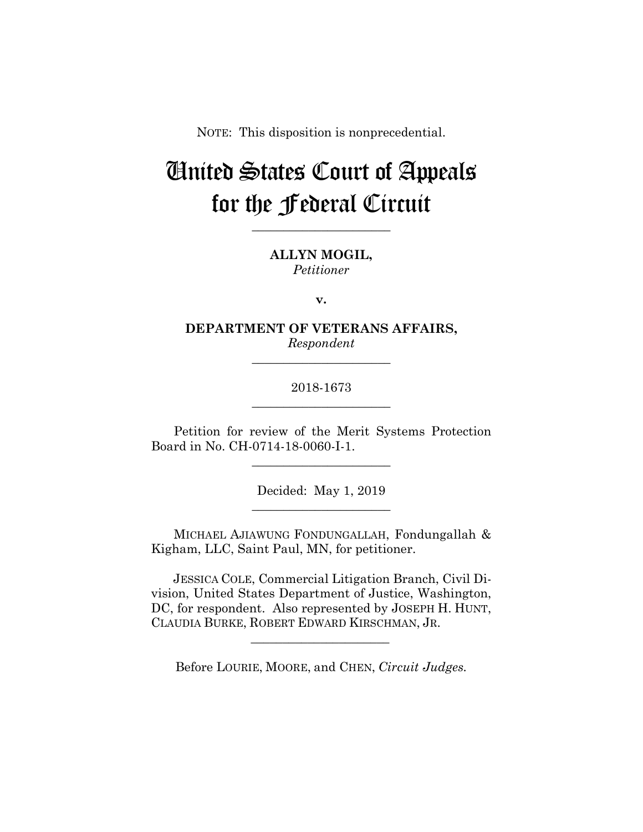NOTE: This disposition is nonprecedential.

# United States Court of Appeals for the Federal Circuit

**\_\_\_\_\_\_\_\_\_\_\_\_\_\_\_\_\_\_\_\_\_\_**

**ALLYN MOGIL,** *Petitioner*

**v.**

**DEPARTMENT OF VETERANS AFFAIRS,** *Respondent*

**\_\_\_\_\_\_\_\_\_\_\_\_\_\_\_\_\_\_\_\_\_\_**

## 2018-1673 **\_\_\_\_\_\_\_\_\_\_\_\_\_\_\_\_\_\_\_\_\_\_**

Petition for review of the Merit Systems Protection Board in No. CH-0714-18-0060-I-1.

**\_\_\_\_\_\_\_\_\_\_\_\_\_\_\_\_\_\_\_\_\_\_**

Decided: May 1, 2019 **\_\_\_\_\_\_\_\_\_\_\_\_\_\_\_\_\_\_\_\_\_\_**

MICHAEL AJIAWUNG FONDUNGALLAH, Fondungallah & Kigham, LLC, Saint Paul, MN, for petitioner.

 JESSICA COLE, Commercial Litigation Branch, Civil Division, United States Department of Justice, Washington, DC, for respondent. Also represented by JOSEPH H. HUNT, CLAUDIA BURKE, ROBERT EDWARD KIRSCHMAN, JR.

Before LOURIE, MOORE, and CHEN, *Circuit Judges.*

 $\mathcal{L}_\text{max}$  and  $\mathcal{L}_\text{max}$  and  $\mathcal{L}_\text{max}$  and  $\mathcal{L}_\text{max}$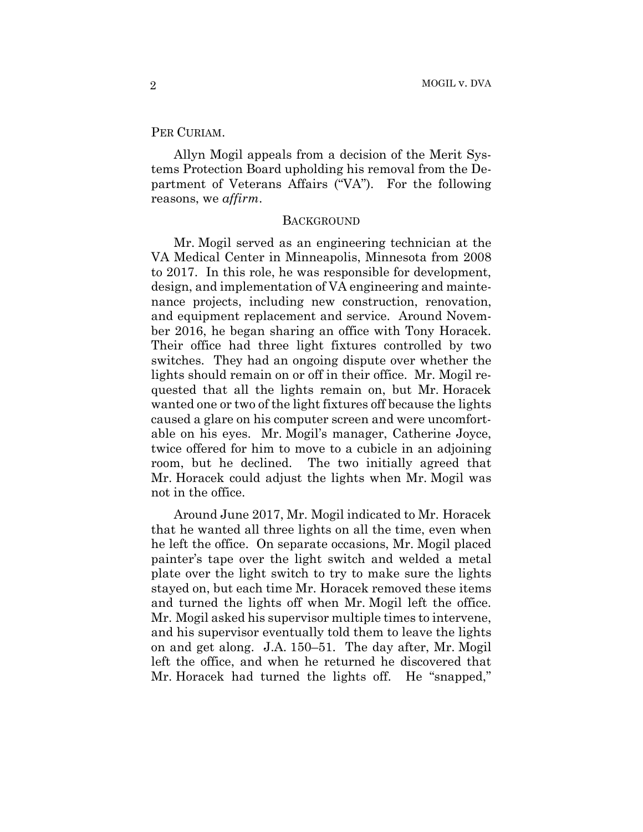#### PER CURIAM.

Allyn Mogil appeals from a decision of the Merit Systems Protection Board upholding his removal from the Department of Veterans Affairs ("VA"). For the following reasons, we *affirm*.

#### **BACKGROUND**

Mr. Mogil served as an engineering technician at the VA Medical Center in Minneapolis, Minnesota from 2008 to 2017. In this role, he was responsible for development, design, and implementation of VA engineering and maintenance projects, including new construction, renovation, and equipment replacement and service. Around November 2016, he began sharing an office with Tony Horacek. Their office had three light fixtures controlled by two switches. They had an ongoing dispute over whether the lights should remain on or off in their office. Mr. Mogil requested that all the lights remain on, but Mr. Horacek wanted one or two of the light fixtures off because the lights caused a glare on his computer screen and were uncomfortable on his eyes. Mr. Mogil's manager, Catherine Joyce, twice offered for him to move to a cubicle in an adjoining room, but he declined. The two initially agreed that Mr. Horacek could adjust the lights when Mr. Mogil was not in the office.

Around June 2017, Mr. Mogil indicated to Mr. Horacek that he wanted all three lights on all the time, even when he left the office. On separate occasions, Mr. Mogil placed painter's tape over the light switch and welded a metal plate over the light switch to try to make sure the lights stayed on, but each time Mr. Horacek removed these items and turned the lights off when Mr. Mogil left the office. Mr. Mogil asked his supervisor multiple times to intervene, and his supervisor eventually told them to leave the lights on and get along. J.A. 150–51. The day after, Mr. Mogil left the office, and when he returned he discovered that Mr. Horacek had turned the lights off. He "snapped,"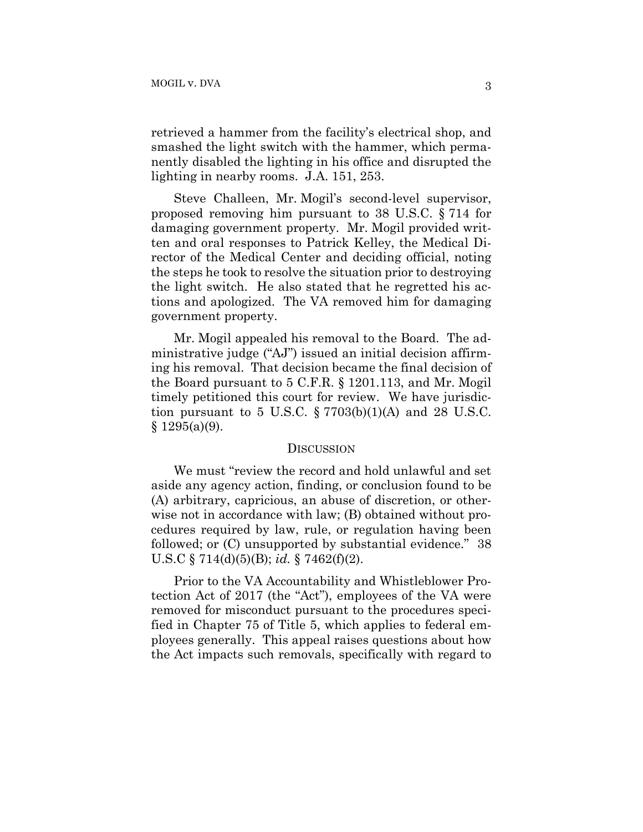retrieved a hammer from the facility's electrical shop, and smashed the light switch with the hammer, which permanently disabled the lighting in his office and disrupted the lighting in nearby rooms. J.A. 151, 253.

Steve Challeen, Mr. Mogil's second-level supervisor, proposed removing him pursuant to 38 U.S.C. § 714 for damaging government property. Mr. Mogil provided written and oral responses to Patrick Kelley, the Medical Director of the Medical Center and deciding official, noting the steps he took to resolve the situation prior to destroying the light switch. He also stated that he regretted his actions and apologized. The VA removed him for damaging government property.

Mr. Mogil appealed his removal to the Board. The administrative judge ("AJ") issued an initial decision affirming his removal. That decision became the final decision of the Board pursuant to 5 C.F.R. § 1201.113, and Mr. Mogil timely petitioned this court for review. We have jurisdiction pursuant to 5 U.S.C.  $\S 7703(b)(1)(A)$  and 28 U.S.C.  $§ 1295(a)(9).$ 

#### DISCUSSION

We must "review the record and hold unlawful and set aside any agency action, finding, or conclusion found to be (A) arbitrary, capricious, an abuse of discretion, or otherwise not in accordance with law; (B) obtained without procedures required by law, rule, or regulation having been followed; or  $(C)$  unsupported by substantial evidence." 38 U.S.C § 714(d)(5)(B); *id.* § 7462(f)(2).

Prior to the VA Accountability and Whistleblower Protection Act of 2017 (the "Act"), employees of the VA were removed for misconduct pursuant to the procedures specified in Chapter 75 of Title 5, which applies to federal employees generally. This appeal raises questions about how the Act impacts such removals, specifically with regard to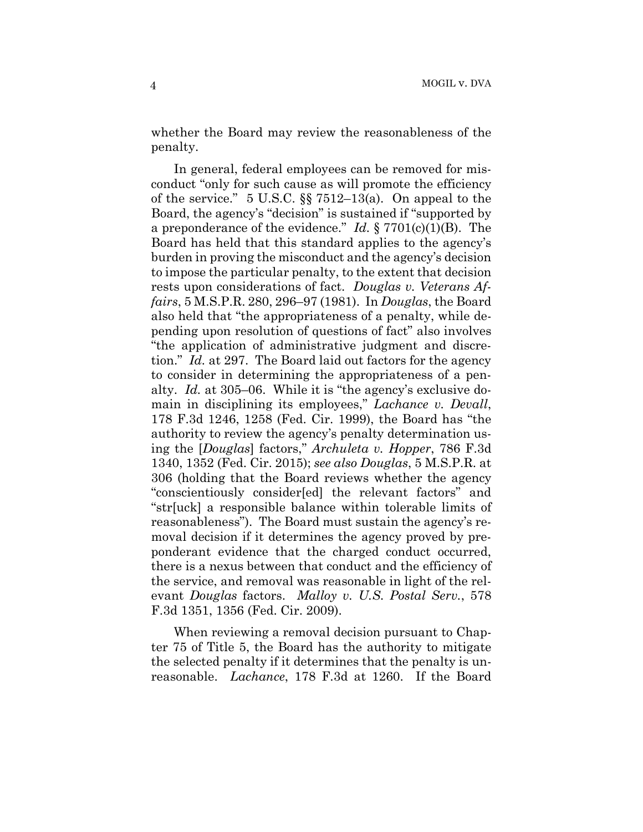whether the Board may review the reasonableness of the penalty.

In general, federal employees can be removed for misconduct "only for such cause as will promote the efficiency of the service." 5 U.S.C.  $\S$  7512–13(a). On appeal to the Board, the agency's "decision" is sustained if "supported by a preponderance of the evidence." *Id.* § 7701(c)(1)(B). The Board has held that this standard applies to the agency's burden in proving the misconduct and the agency's decision to impose the particular penalty, to the extent that decision rests upon considerations of fact. *Douglas v. Veterans Affairs*, 5 M.S.P.R. 280, 296–97 (1981). In *Douglas*, the Board also held that "the appropriateness of a penalty, while depending upon resolution of questions of fact" also involves "the application of administrative judgment and discretion." *Id.* at 297. The Board laid out factors for the agency to consider in determining the appropriateness of a penalty. *Id.* at 305–06. While it is "the agency's exclusive domain in disciplining its employees," *Lachance v. Devall*, 178 F.3d 1246, 1258 (Fed. Cir. 1999), the Board has "the authority to review the agency's penalty determination using the [*Douglas*] factors," *Archuleta v. Hopper*, 786 F.3d 1340, 1352 (Fed. Cir. 2015); *see also Douglas*, 5 M.S.P.R. at 306 (holding that the Board reviews whether the agency "conscientiously consider[ed] the relevant factors" and "str[uck] a responsible balance within tolerable limits of reasonableness"). The Board must sustain the agency's removal decision if it determines the agency proved by preponderant evidence that the charged conduct occurred, there is a nexus between that conduct and the efficiency of the service, and removal was reasonable in light of the relevant *Douglas* factors. *Malloy v. U.S. Postal Serv.*, 578 F.3d 1351, 1356 (Fed. Cir. 2009).

When reviewing a removal decision pursuant to Chapter 75 of Title 5, the Board has the authority to mitigate the selected penalty if it determines that the penalty is unreasonable. *Lachance*, 178 F.3d at 1260. If the Board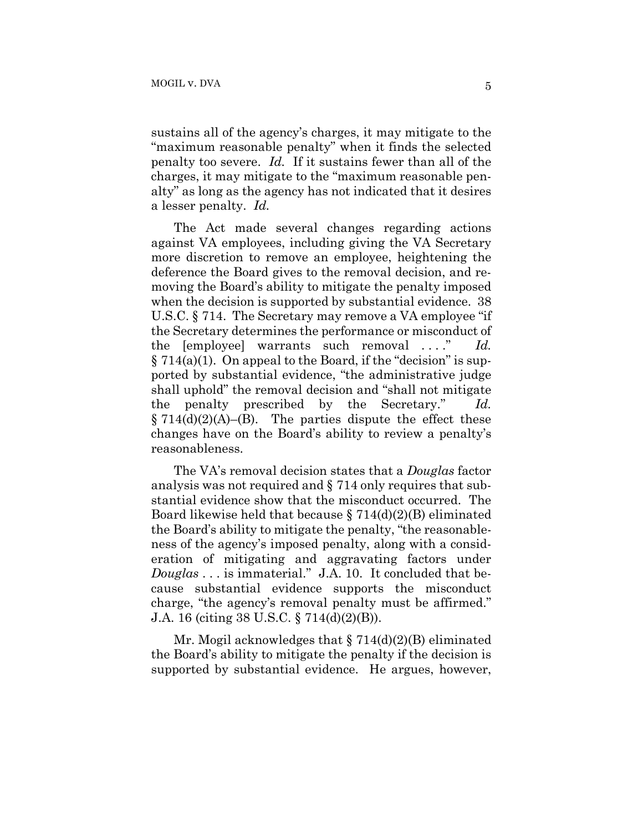sustains all of the agency's charges, it may mitigate to the "maximum reasonable penalty" when it finds the selected penalty too severe. *Id.* If it sustains fewer than all of the charges, it may mitigate to the "maximum reasonable penalty" as long as the agency has not indicated that it desires a lesser penalty. *Id.*

The Act made several changes regarding actions against VA employees, including giving the VA Secretary more discretion to remove an employee, heightening the deference the Board gives to the removal decision, and removing the Board's ability to mitigate the penalty imposed when the decision is supported by substantial evidence. 38 U.S.C. § 714. The Secretary may remove a VA employee "if the Secretary determines the performance or misconduct of the [employee] warrants such removal ...." Id. § 714(a)(1). On appeal to the Board, if the "decision" is supported by substantial evidence, "the administrative judge shall uphold" the removal decision and "shall not mitigate the penalty prescribed by the Secretary." *Id.*  $\S 714(d)(2)(A)$ –(B). The parties dispute the effect these changes have on the Board's ability to review a penalty's reasonableness.

The VA's removal decision states that a *Douglas* factor analysis was not required and § 714 only requires that substantial evidence show that the misconduct occurred. The Board likewise held that because  $\S 714(d)(2)(B)$  eliminated the Board's ability to mitigate the penalty, "the reasonableness of the agency's imposed penalty, along with a consideration of mitigating and aggravating factors under *Douglas* . . . is immaterial." J.A. 10. It concluded that because substantial evidence supports the misconduct charge, "the agency's removal penalty must be affirmed." J.A. 16 (citing 38 U.S.C. § 714(d)(2)(B)).

Mr. Mogil acknowledges that  $\S 714(d)(2)(B)$  eliminated the Board's ability to mitigate the penalty if the decision is supported by substantial evidence. He argues, however,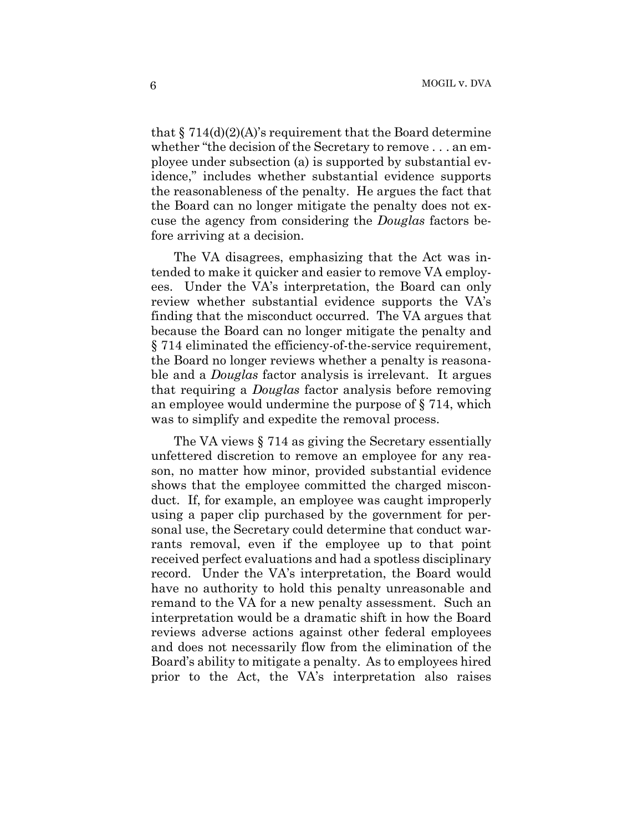that  $\S 714(d)(2)(A)$ 's requirement that the Board determine whether "the decision of the Secretary to remove . . . an employee under subsection (a) is supported by substantial evidence," includes whether substantial evidence supports the reasonableness of the penalty. He argues the fact that the Board can no longer mitigate the penalty does not excuse the agency from considering the *Douglas* factors before arriving at a decision.

The VA disagrees, emphasizing that the Act was intended to make it quicker and easier to remove VA employees. Under the VA's interpretation, the Board can only review whether substantial evidence supports the VA's finding that the misconduct occurred. The VA argues that because the Board can no longer mitigate the penalty and § 714 eliminated the efficiency-of-the-service requirement, the Board no longer reviews whether a penalty is reasonable and a *Douglas* factor analysis is irrelevant. It argues that requiring a *Douglas* factor analysis before removing an employee would undermine the purpose of § 714, which was to simplify and expedite the removal process.

The VA views § 714 as giving the Secretary essentially unfettered discretion to remove an employee for any reason, no matter how minor, provided substantial evidence shows that the employee committed the charged misconduct. If, for example, an employee was caught improperly using a paper clip purchased by the government for personal use, the Secretary could determine that conduct warrants removal, even if the employee up to that point received perfect evaluations and had a spotless disciplinary record. Under the VA's interpretation, the Board would have no authority to hold this penalty unreasonable and remand to the VA for a new penalty assessment. Such an interpretation would be a dramatic shift in how the Board reviews adverse actions against other federal employees and does not necessarily flow from the elimination of the Board's ability to mitigate a penalty. As to employees hired prior to the Act, the VA's interpretation also raises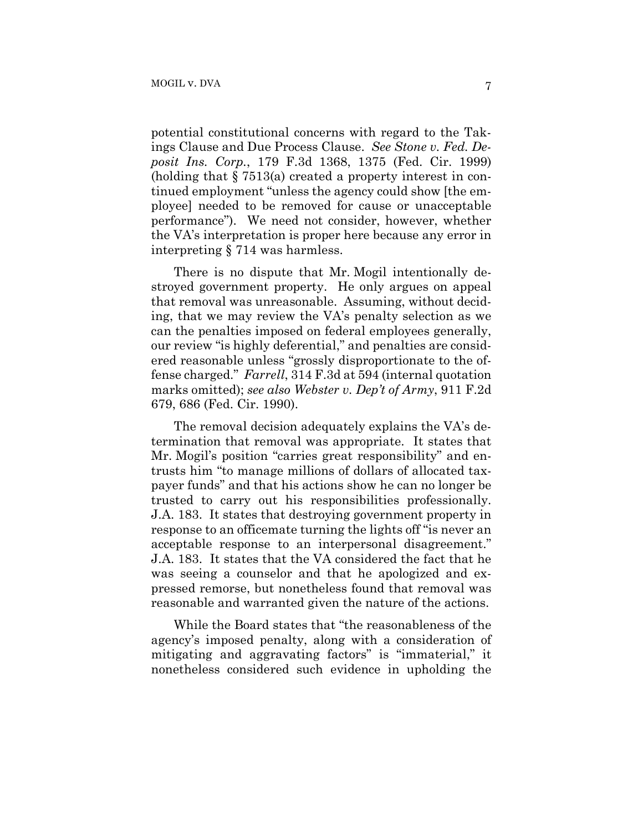potential constitutional concerns with regard to the Takings Clause and Due Process Clause. *See Stone v. Fed. Deposit Ins. Corp.*, 179 F.3d 1368, 1375 (Fed. Cir. 1999) (holding that § 7513(a) created a property interest in continued employment "unless the agency could show [the employee] needed to be removed for cause or unacceptable performance"). We need not consider, however, whether the VA's interpretation is proper here because any error in interpreting § 714 was harmless.

There is no dispute that Mr. Mogil intentionally destroyed government property. He only argues on appeal that removal was unreasonable. Assuming, without deciding, that we may review the VA's penalty selection as we can the penalties imposed on federal employees generally, our review "is highly deferential," and penalties are considered reasonable unless "grossly disproportionate to the offense charged." *Farrell*, 314 F.3d at 594 (internal quotation marks omitted); *see also Webster v. Dep't of Army*, 911 F.2d 679, 686 (Fed. Cir. 1990).

The removal decision adequately explains the VA's determination that removal was appropriate. It states that Mr. Mogil's position "carries great responsibility" and entrusts him "to manage millions of dollars of allocated taxpayer funds" and that his actions show he can no longer be trusted to carry out his responsibilities professionally. J.A. 183. It states that destroying government property in response to an officemate turning the lights off "is never an acceptable response to an interpersonal disagreement." J.A. 183. It states that the VA considered the fact that he was seeing a counselor and that he apologized and expressed remorse, but nonetheless found that removal was reasonable and warranted given the nature of the actions.

While the Board states that "the reasonableness of the agency's imposed penalty, along with a consideration of mitigating and aggravating factors" is "immaterial," it nonetheless considered such evidence in upholding the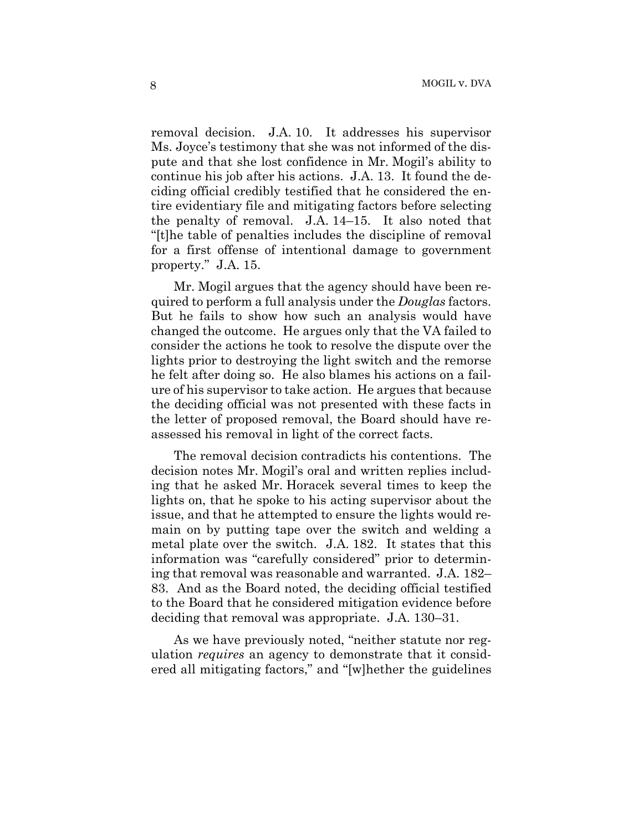removal decision. J.A. 10. It addresses his supervisor Ms. Joyce's testimony that she was not informed of the dispute and that she lost confidence in Mr. Mogil's ability to continue his job after his actions. J.A. 13. It found the deciding official credibly testified that he considered the entire evidentiary file and mitigating factors before selecting the penalty of removal. J.A. 14–15. It also noted that "[t]he table of penalties includes the discipline of removal for a first offense of intentional damage to government property." J.A. 15.

Mr. Mogil argues that the agency should have been required to perform a full analysis under the *Douglas* factors. But he fails to show how such an analysis would have changed the outcome. He argues only that the VA failed to consider the actions he took to resolve the dispute over the lights prior to destroying the light switch and the remorse he felt after doing so. He also blames his actions on a failure of his supervisor to take action. He argues that because the deciding official was not presented with these facts in the letter of proposed removal, the Board should have reassessed his removal in light of the correct facts.

The removal decision contradicts his contentions. The decision notes Mr. Mogil's oral and written replies including that he asked Mr. Horacek several times to keep the lights on, that he spoke to his acting supervisor about the issue, and that he attempted to ensure the lights would remain on by putting tape over the switch and welding a metal plate over the switch. J.A. 182. It states that this information was "carefully considered" prior to determining that removal was reasonable and warranted. J.A. 182– 83. And as the Board noted, the deciding official testified to the Board that he considered mitigation evidence before deciding that removal was appropriate. J.A. 130–31.

As we have previously noted, "neither statute nor regulation *requires* an agency to demonstrate that it considered all mitigating factors," and "[w]hether the guidelines